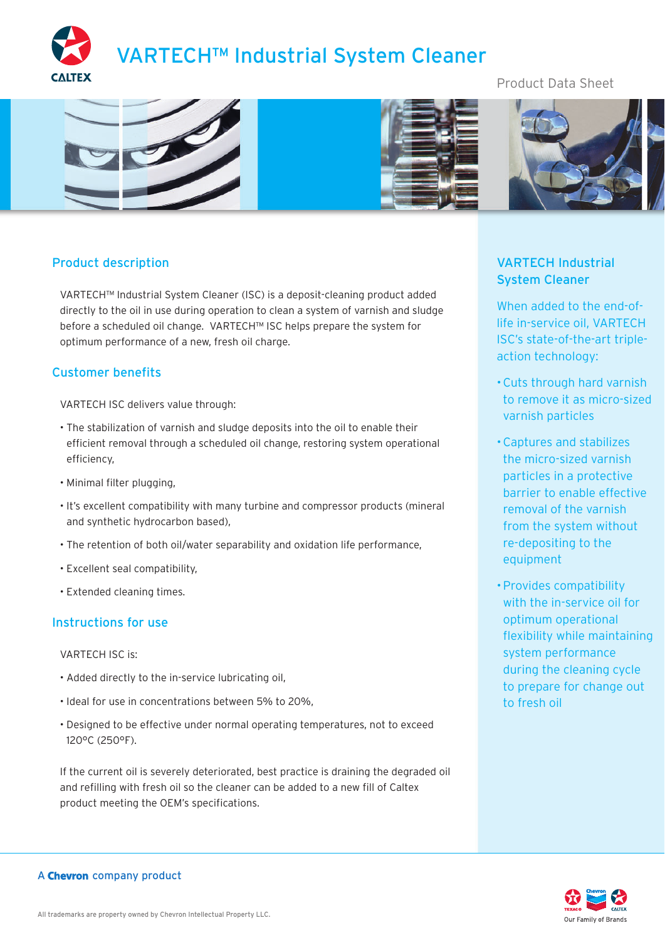

# Product Data Sheet



## Product description

VARTECH™ Industrial System Cleaner (ISC) is a deposit-cleaning product added directly to the oil in use during operation to clean a system of varnish and sludge before a scheduled oil change. VARTECH™ ISC helps prepare the system for optimum performance of a new, fresh oil charge.

## Customer benefits

VARTECH ISC delivers value through:

- The stabilization of varnish and sludge deposits into the oil to enable their efficient removal through a scheduled oil change, restoring system operational efficiency,
- Minimal filter plugging,
- It's excellent compatibility with many turbine and compressor products (mineral and synthetic hydrocarbon based),
- The retention of both oil/water separability and oxidation life performance,
- Excellent seal compatibility,
- Extended cleaning times.

#### Instructions for use

VARTECH ISC is:

- Added directly to the in-service lubricating oil,
- Ideal for use in concentrations between 5% to 20%,
- Designed to be effective under normal operating temperatures, not to exceed 120°C (250°F).

If the current oil is severely deteriorated, best practice is draining the degraded oil and refilling with fresh oil so the cleaner can be added to a new fill of Caltex product meeting the OEM's specifications.

# VARTECH Industrial System Cleaner

When added to the end-oflife in-service oil, VARTECH ISC's state-of-the-art tripleaction technology:

- Cuts through hard varnish to remove it as micro-sized varnish particles
- Captures and stabilizes the micro-sized varnish particles in a protective barrier to enable effective removal of the varnish from the system without re-depositing to the equipment
- Provides compatibility with the in-service oil for optimum operational flexibility while maintaining system performance during the cleaning cycle to prepare for change out to fresh oil



#### A Chevron company product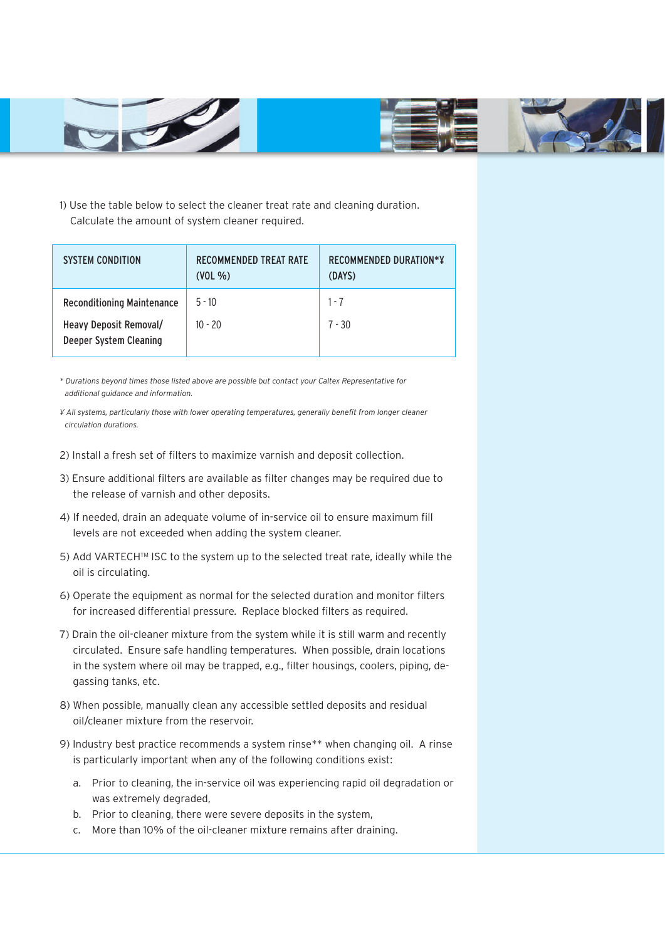

1) Use the table below to select the cleaner treat rate and cleaning duration. Calculate the amount of system cleaner required.

| <b>SYSTEM CONDITION</b>                          | <b>RECOMMENDED TREAT RATE</b><br>$(VOL\%)$ | RECOMMENDED DURATION*Y<br>(DAYS) |
|--------------------------------------------------|--------------------------------------------|----------------------------------|
| <b>Reconditioning Maintenance</b>                | $5 - 10$                                   | $1 - 7$                          |
| Heavy Deposit Removal/<br>Deeper System Cleaning | $10 - 20$                                  | $7 - 30$                         |

*\* Durations beyond times those listed above are possible but contact your Caltex Representative for additional guidance and information.*

*¥ All systems, particularly those with lower operating temperatures, generally benefit from longer cleaner circulation durations.*

- 2) Install a fresh set of filters to maximize varnish and deposit collection.
- 3) Ensure additional filters are available as filter changes may be required due to the release of varnish and other deposits.
- 4) If needed, drain an adequate volume of in-service oil to ensure maximum fill levels are not exceeded when adding the system cleaner.
- 5) Add VARTECH™ ISC to the system up to the selected treat rate, ideally while the oil is circulating.
- 6) Operate the equipment as normal for the selected duration and monitor filters for increased differential pressure. Replace blocked filters as required.
- 7) Drain the oil-cleaner mixture from the system while it is still warm and recently circulated. Ensure safe handling temperatures. When possible, drain locations in the system where oil may be trapped, e.g., filter housings, coolers, piping, degassing tanks, etc.
- 8) When possible, manually clean any accessible settled deposits and residual oil/cleaner mixture from the reservoir.
- 9) Industry best practice recommends a system rinse\*\* when changing oil. A rinse is particularly important when any of the following conditions exist:
	- a. Prior to cleaning, the in-service oil was experiencing rapid oil degradation or was extremely degraded,
	- b. Prior to cleaning, there were severe deposits in the system,
	- c. More than 10% of the oil-cleaner mixture remains after draining.